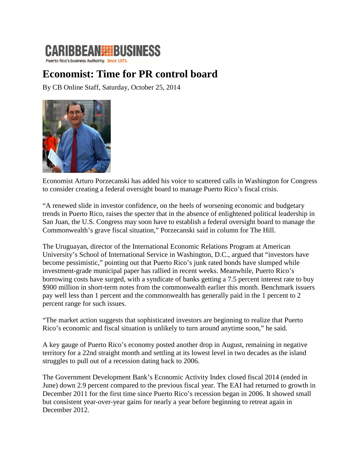## **CARIBBEAN HIBUSINESS**

Puerto Rico's business Authority. Since 1973.

## **Economist: Time for PR control board**

By CB Online Staff, Saturday, October 25, 2014



Economist Arturo Porzecanski has added his voice to scattered calls in Washington for Congress to consider creating a federal oversight board to manage Puerto Rico's fiscal crisis.

"A renewed slide in investor confidence, on the heels of worsening economic and budgetary trends in Puerto Rico, raises the specter that in the absence of enlightened political leadership in San Juan, the U.S. Congress may soon have to establish a federal oversight board to manage the Commonwealth's grave fiscal situation," Porzecanski said in column for The Hill.

The Uruguayan, director of the International Economic Relations Program at American University's School of International Service in Washington, D.C., argued that "investors have become pessimistic," pointing out that Puerto Rico's junk rated bonds have slumped while investment-grade municipal paper has rallied in recent weeks. Meanwhile, Puerto Rico's borrowing costs have surged, with a syndicate of banks getting a 7.5 percent interest rate to buy \$900 million in short-term notes from the commonwealth earlier this month. Benchmark issuers pay well less than 1 percent and the commonwealth has generally paid in the 1 percent to 2 percent range for such issues.

"The market action suggests that sophisticated investors are beginning to realize that Puerto Rico's economic and fiscal situation is unlikely to turn around anytime soon," he said.

A key gauge of Puerto Rico's economy posted another drop in August, remaining in negative territory for a 22nd straight month and settling at its lowest level in two decades as the island struggles to pull out of a recession dating back to 2006.

The Government Development Bank's Economic Activity Index closed fiscal 2014 (ended in June) down 2.9 percent compared to the previous fiscal year. The EAI had returned to growth in December 2011 for the first time since Puerto Rico's recession began in 2006. It showed small but consistent year-over-year gains for nearly a year before beginning to retreat again in December 2012.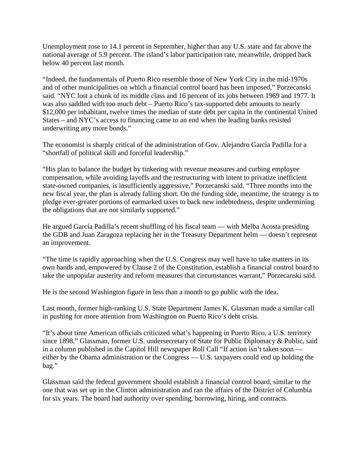Unemployment rose to 14.1 percent in September, higher than any U.S. state and far above the national average of 5.9 percent. The island's labor participation rate, meanwhile, dropped back below 40 percent last month.

"Indeed, the fundamentals of Puerto Rico resemble those of New York City in the mid-1970s and of other municipalities on which a financial control board has been imposed," Porzecanski said. "NYC lost a chunk of its middle class and 16 percent of its jobs between 1969 and 1977. It was also saddled with too much debt – Puerto Rico's tax-supported debt amounts to nearly \$12,000 per inhabitant, twelve times the median of state debt per capita in the continental United States – and NYC's access to financing came to an end when the leading banks resisted underwriting any more bonds."

The economist is sharply critical of the administration of Gov. Alejandro García Padilla for a "shortfall of political skill and forceful leadership."

"His plan to balance the budget by tinkering with revenue measures and curbing employee compensation, while avoiding layoffs and the restructuring with intent to privatize inefficient state-owned companies, is insufficiently aggressive," Porzecanski said. "Three months into the new fiscal year, the plan is already falling short. On the funding side, meantime, the strategy is to pledge ever-greater portions of earmarked taxes to back new indebtedness, despite undermining the obligations that are not similarly supported."

He argued García Padilla's recent shuffling of his fiscal team — with Melba Acosta presiding the GDB and Juan Zaragoza replacing her in the Treasury Department helm — doesn't represent an improvement.

"The time is rapidly approaching when the U.S. Congress may well have to take matters in its own hands and, empowered by Clause 2 of the Constitution, establish a financial control board to take the unpopular austerity and reform measures that circumstances warrant," Porzecanski said.

He is the second Washington figure in less than a month to go public with the idea.

Last month, former high-ranking U.S. State Department James K. Glassman made a similar call in pushing for more attention from Washington on Puerto Rico's debt crisis.

"It's about time American officials criticized what's happening in Puerto Rico, a U.S. territory since 1898," Glassman, former U.S. undersecretary of State for Public Diplomacy & Public, said in a column published in the Capitol Hill newspaper Roll Call "If action isn't taken soon either by the Obama administration or the Congress — U.S. taxpayers could end up holding the bag."

Glassman said the federal government should establish a financial control board, similar to the one that was set up in the Clinton administration and ran the affairs of the District of Columbia for six years. The board had authority over spending, borrowing, hiring, and contracts.